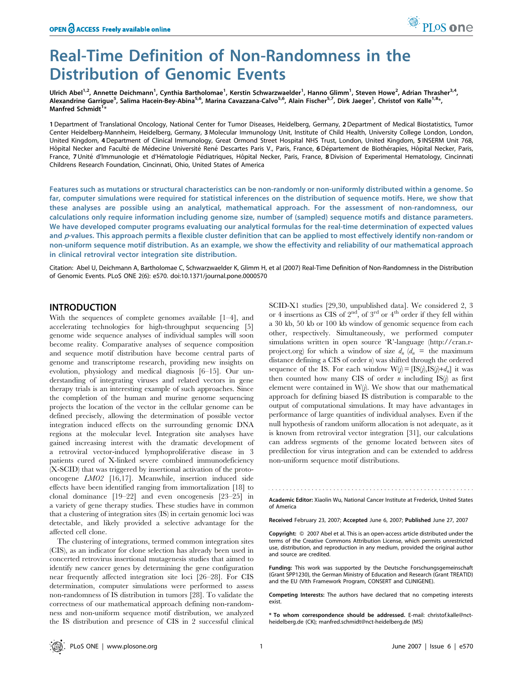# Real-Time Definition of Non-Randomness in the Distribution of Genomic Events

Ulrich Abel<sup>1,2</sup>, Annette Deichmann<sup>1</sup>, Cynthia Bartholomae<sup>1</sup>, Kerstin Schwarzwaelder<sup>1</sup>, Hanno Glimm<sup>1</sup>, Steven Howe<sup>2</sup>, Adrian Thrasher<sup>3,4</sup>, Alexandrine Garrigue<sup>5</sup>, Salima Hacein-Bey-Abina<sup>5,6</sup>, Marina Cavazzana-Calvo<sup>5,6</sup>, Alain Fischer<sup>5,7</sup>, Dirk Jaeger<sup>1</sup>, Christof von Kalle<sup>1,8</sup>\*, Manfred Schmidt<sup>1</sup>\*

1Department of Translational Oncology, National Center for Tumor Diseases, Heidelberg, Germany, 2Department of Medical Biostatistics, Tumor Center Heidelberg-Mannheim, Heidelberg, Germany, 3 Molecular Immunology Unit, Institute of Child Health, University College London, London, United Kingdom, 4Department of Clinical Immunology, Great Ormond Street Hospital NHS Trust, London, United Kingdom, 5 INSERM Unit 768, Hôpital Necker and Faculté de Médecine Université René Descartes Paris V., Paris, France, 6Département de Biothérapies, Hôpital Necker, Paris, France, 7 Unité d'Immunologie et d'Hématologie Pédiatriques, Hôpital Necker, Paris, France, 8 Division of Experimental Hematology, Cincinnati Childrens Research Foundation, Cincinnati, Ohio, United States of America

Features such as mutations or structural characteristics can be non-randomly or non-uniformly distributed within a genome. So far, computer simulations were required for statistical inferences on the distribution of sequence motifs. Here, we show that these analyses are possible using an analytical, mathematical approach. For the assessment of non-randomness, our calculations only require information including genome size, number of (sampled) sequence motifs and distance parameters. We have developed computer programs evaluating our analytical formulas for the real-time determination of expected values and p-values. This approach permits a flexible cluster definition that can be applied to most effectively identify non-random or non-uniform sequence motif distribution. As an example, we show the effectivity and reliability of our mathematical approach in clinical retroviral vector integration site distribution.

Citation: Abel U, Deichmann A, Bartholomae C, Schwarzwaelder K, Glimm H, et al (2007) Real-Time Definition of Non-Randomness in the Distribution of Genomic Events. PLoS ONE 2(6): e570. doi:10.1371/journal.pone.0000570

## INTRODUCTION

With the sequences of complete genomes available  $[1-4]$ , and accelerating technologies for high-throughput sequencing [5] genome wide sequence analyses of individual samples will soon become reality. Comparative analyses of sequence composition and sequence motif distribution have become central parts of genome and transcriptome research, providing new insights on evolution, physiology and medical diagnosis [6–15]. Our understanding of integrating viruses and related vectors in gene therapy trials is an interesting example of such approaches. Since the completion of the human and murine genome sequencing projects the location of the vector in the cellular genome can be defined precisely, allowing the determination of possible vector integration induced effects on the surrounding genomic DNA regions at the molecular level. Integration site analyses have gained increasing interest with the dramatic development of a retroviral vector-induced lymphoproliferative disease in 3 patients cured of X-linked severe combined immunodeficiency (X-SCID) that was triggered by insertional activation of the protooncogene LMO2 [16,17]. Meanwhile, insertion induced side effects have been identified ranging from immortalization [18] to clonal dominance [19–22] and even oncogenesis [23–25] in a variety of gene therapy studies. These studies have in common that a clustering of integration sites (IS) in certain genomic loci was detectable, and likely provided a selective advantage for the affected cell clone.

The clustering of integrations, termed common integration sites (CIS), as an indicator for clone selection has already been used in concerted retrovirus insertional mutagenesis studies that aimed to identify new cancer genes by determining the gene configuration near frequently affected integration site loci [26–28]. For CIS determination, computer simulations were performed to assess non-randomness of IS distribution in tumors [28]. To validate the correctness of our mathematical approach defining non-randomness and non-uniform sequence motif distribution, we analyzed the IS distribution and presence of CIS in 2 successful clinical SCID-X1 studies [29,30, unpublished data]. We considered 2, 3 or 4 insertions as CIS of  $2<sup>nd</sup>$ , of  $3<sup>rd</sup>$  or  $4<sup>th</sup>$  order if they fell within a 30 kb, 50 kb or 100 kb window of genomic sequence from each other, respectively. Simultaneously, we performed computer simulations written in open source 'R'-language (http://cran.rproject.org) for which a window of size  $d_n$  ( $d_n$  = the maximum distance defining a CIS of order  $n$ ) was shifted through the ordered sequence of the IS. For each window  $W(j) = [IS(j), IS(j) + d_n]$  it was then counted how many CIS of order *n* including  $IS(j)$  as first element were contained in  $W(j)$ . We show that our mathematical approach for defining biased IS distribution is comparable to the output of computational simulations. It may have advantages in performance of large quantities of individual analyses. Even if the null hypothesis of random uniform allocation is not adequate, as it is known from retroviral vector integration [31], our calculations can address segments of the genome located between sites of predilection for virus integration and can be extended to address non-uniform sequence motif distributions.

Academic Editor: Xiaolin Wu, National Cancer Institute at Frederick, United States of America

Received February 23, 2007; Accepted June 6, 2007; Published June 27, 2007

Copyright:  $@$  2007 Abel et al. This is an open-access article distributed under the terms of the Creative Commons Attribution License, which permits unrestricted use, distribution, and reproduction in any medium, provided the original author and source are credited.

Funding: This work was supported by the Deutsche Forschungsgemeinschaft (Grant SPP1230), the German Ministry of Education and Research (Grant TREATID) and the EU (VIth Framework Program, CONSERT and CLINIGENE).

Competing Interests: The authors have declared that no competing interests exist.

\* To whom correspondence should be addressed. E-mail: christof.kalle@nctheidelberg.de (CK); manfred.schmidt@nct-heidelberg.de (MS)

 $PLOS$  one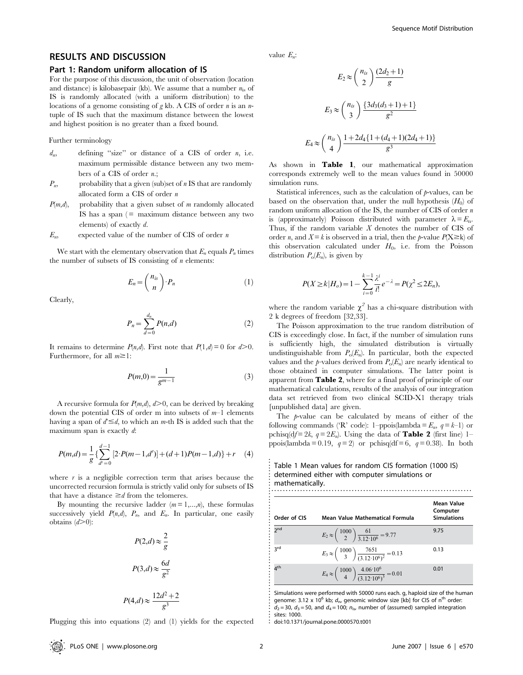# RESULTS AND DISCUSSION

#### Part 1: Random uniform allocation of IS

For the purpose of this discussion, the unit of observation (location and distance) is kilobasepair (kb). We assume that a number  $n_i$  of IS is randomly allocated (with a uniform distribution) to the locations of a genome consisting of g kb. A CIS of order n is an ntuple of IS such that the maximum distance between the lowest and highest position is no greater than a fixed bound.

Further terminology

- $d_n$ , defining "size" or distance of a CIS of order n, i.e. maximum permissible distance between any two members of a CIS of order n.;
- $P_n$ , probability that a given (sub)set of n IS that are randomly allocated form a CIS of order n
- $P(m,d)$ , probability that a given subset of m randomly allocated IS has a span  $($  = maximum distance between any two elements) of exactly d.
- $E_n$ , expected value of the number of CIS of order n

We start with the elementary observation that  $E_n$  equals  $P_n$  times the number of subsets of IS consisting of  $n$  elements:

$$
E_n = \binom{n_{is}}{n} \cdot P_n \tag{1}
$$

Clearly,

$$
P_n = \sum_{d=0}^{d_n} P(n,d) \tag{2}
$$

It remains to determine  $P(n,d)$ . First note that  $P(1,d) = 0$  for  $d > 0$ . Furthermore, for all  $m \ge 1$ :

$$
P(m,0) = \frac{1}{g^{m-1}}
$$
 (3)

A recursive formula for  $P(m,d)$ ,  $d>0$ , can be derived by breaking down the potential CIS of order m into subsets of  $m-1$  elements having a span of  $d \leq d$ , to which an m-th IS is added such that the maximum span is exactly d:

$$
P(m,d) = \frac{1}{g} \left\{ \sum_{d'=0}^{d-1} \left[ 2 \cdot P(m-1,d') \right] + (d+1)P(m-1,d) \right\} + r \tag{4}
$$

where  $r$  is a negligible correction term that arises because the uncorrected recursion formula is strictly valid only for subsets of IS that have a distance  $\geq d$  from the telomeres.

By mounting the recursive ladder  $(m = 1,...,n)$ , these formulas successively yield  $P(n,d)$ ,  $P_n$ , and  $E_n$ . In particular, one easily obtains  $(d>0)$ :

$$
P(2,d) \approx \frac{2}{g}
$$

$$
P(3,d) \approx \frac{6d}{g^2}
$$

$$
P(4,d) \approx \frac{12d^2 + 2}{g^3}
$$

Plugging this into equations (2) and (1) yields for the expected

value  $E_n$ :

$$
E_2 \approx {n_{is} \choose 2} \frac{(2d_2+1)}{g}
$$

$$
E_3 \approx {n_{is} \choose 3} \frac{\{3d_3(d_3+1)+1\}}{g^2}
$$

$$
E_4 \approx {n_{is} \choose 4} \frac{1+2d_4\{1+(d_4+1)(2d_4+1)\}}{g^3}
$$

As shown in Table 1, our mathematical approximation corresponds extremely well to the mean values found in 50000 simulation runs.

Statistical inferences, such as the calculation of  $p$ -values, can be based on the observation that, under the null hypothesis  $(H_0)$  of random uniform allocation of the IS, the number of CIS of order  $n$ is (approximately) Poisson distributed with parameter  $\lambda = E_n$ . Thus, if the random variable  $X$  denotes the number of CIS of order *n*, and  $X = k$  is observed in a trial, then the *p*-value  $P(X \ge k)$  of this observation calculated under  $H_0$ , i.e. from the Poisson distribution  $P_o(E_n)$ , is given by

$$
P(X \ge k | H_o) = 1 - \sum_{i=0}^{k-1} \frac{\lambda^i}{i!} e^{-\lambda} = P(\chi^2 \le 2E_n),
$$

where the random variable  $\chi^2$  has a chi-square distribution with 2 k degrees of freedom [32,33].

The Poisson approximation to the true random distribution of CIS is exceedingly close. In fact, if the number of simulation runs is sufficiently high, the simulated distribution is virtually undistinguishable from  $P_0(E_n)$ . In particular, both the expected values and the p-values derived from  $P_{o}(E_n)$  are nearly identical to those obtained in computer simulations. The latter point is apparent from Table 2, where for a final proof of principle of our mathematical calculations, results of the analysis of our integration data set retrieved from two clinical SCID-X1 therapy trials [unpublished data] are given.

The *p*-value can be calculated by means of either of the following commands ('R' code): 1–ppois(lambda =  $E_n$ ,  $q = k-1$ ) or pchisq(df = 2k,  $q = 2E_n$ ). Using the data of **Table 2** (first line) 1– ppois(lambda = 0.19,  $q=2$ ) or pchisq(df = 6,  $q=0.38$ ). In both

Table 1 Mean values for random CIS formation (1000 IS) determined either with computer simulations or mathematically. ......................................................................

| Order of CIS    | Mean Value Mathematical Formula                                                              | Mean Value<br>Computer<br><b>Simulations</b> |
|-----------------|----------------------------------------------------------------------------------------------|----------------------------------------------|
| 2 <sub>nd</sub> | $E_2 \approx \left(\frac{1000}{2}\right) \frac{61}{3.12 \cdot 10^6} = 9.77$                  | 9.75                                         |
| 3rd             | $E_3 \approx \left(\frac{1000}{3}\right) \frac{7651}{(3.12 \cdot 10^6)^2} = 0.13$            | 0.13                                         |
| $4^{\text{th}}$ | $E_4 \approx \left(\frac{1000}{4}\right) \frac{4.06 \cdot 10^6}{(3.12 \cdot 10^6)^3} = 0.01$ | 0.01                                         |

Simulations were performed with 50000 runs each. g, haploid size of the human genome: 3.12 x 10<sup>6</sup> kb;  $d_{\rm{n}}$ , genomic window size [kb] for CIS of n<sup>th</sup> order:  $d_2$  = 30,  $d_3$  = 50, and  $d_4$  = 100;  $n_{\text{is}}$ , number of (assumed) sampled integration sites: 1000.

.......................................................... doi:10.1371/journal.pone.0000570.t001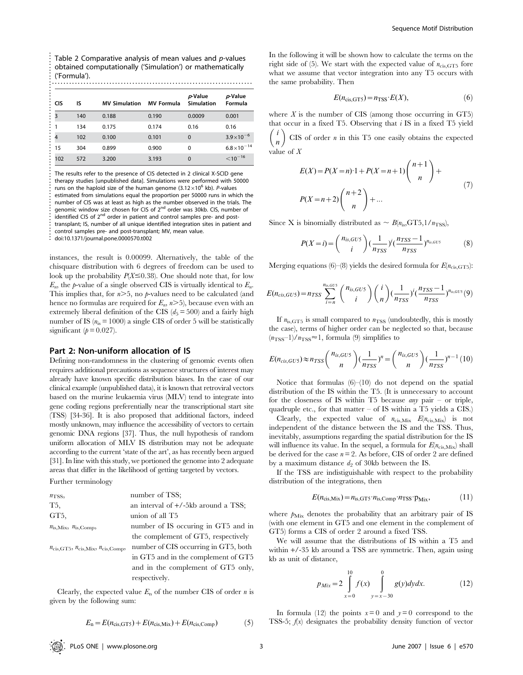Table 2 Comparative analysis of mean values and p-values obtained computationally ('Simulation') or mathematically ('Formula').

| CIS | ıs  | <b>MV Simulation</b> | <b>MV Formula</b> | p-Value<br><b>Simulation</b> | p-Value<br>Formula    |
|-----|-----|----------------------|-------------------|------------------------------|-----------------------|
| 3   | 140 | 0.188                | 0.190             | 0.0009                       | 0.001                 |
|     | 134 | 0.175                | 0.174             | 0.16                         | 0.16                  |
| 4   | 102 | 0.100                | 0.101             | $\Omega$                     | $3.9 \times 10^{-6}$  |
| 15  | 304 | 0.899                | 0.900             | 0                            | $6.8 \times 10^{-14}$ |
| 102 | 572 | 3.200                | 3.193             | 0                            | $<$ 10 <sup>-16</sup> |

The results refer to the presence of CIS detected in 2 clinical X-SCID gene therapy studies [unpublished data]. Simulations were performed with 50000 runs on the haploid size of the human genome (3.12 $\times$ 10<sup>6</sup> kb). P-values estimated from simulations equal the proportion per 50000 runs in which the number of CIS was at least as high as the number observed in the trials. The genomic window size chosen for CIS of 2<sup>nd</sup> order was 30kb. CIS, number of identified CIS of  $2^{nd}$  order in patient and control samples pre- and posttransplant; IS, number of all unique identified integration sites in patient and control samples pre- and post-transplant; MV, mean value.

.................................................................. doi:10.1371/journal.pone.0000570.t002

instances, the result is 0.00099. Alternatively, the table of the chisquare distribution with 6 degrees of freedom can be used to look up the probability  $P(X \le 0.38)$ . One should note that, for low  $E_n$ , the p-value of a single observed CIS is virtually identical to  $E_n$ . This implies that, for  $n \geq 5$ , no p-values need to be calculated (and hence no formulas are required for  $E_n$ ,  $n>5$ ), because even with an extremely liberal definition of the CIS ( $d_5$  = 500) and a fairly high number of IS ( $n_{is} = 1000$ ) a single CIS of order 5 will be statistically significant ( $p = 0.027$ ).

#### Part 2: Non-uniform allocation of IS

Defining non-randomness in the clustering of genomic events often requires additional precautions as sequence structures of interest may already have known specific distribution biases. In the case of our clinical example (unpublished data), it is known that retroviral vectors based on the murine leukaemia virus (MLV) tend to integrate into gene coding regions preferentially near the transcriptional start site (TSS) [34-36]. It is also proposed that additional factors, indeed mostly unknown, may influence the accessibility of vectors to certain genomic DNA regions [37]. Thus, the null hypothesis of random uniform allocation of MLV IS distribution may not be adequate according to the current 'state of the art', as has recently been argued [31]. In line with this study, we portioned the genome into 2 adequate areas that differ in the likelihood of getting targeted by vectors.

Further terminology

| $n_{\rm TSS}$                                                                          | number of TSS;                        |
|----------------------------------------------------------------------------------------|---------------------------------------|
| T5,                                                                                    | an interval of $+/-5kb$ around a TSS; |
| GT5,                                                                                   | union of all T5                       |
| $n_{\text{is,Mix}}, n_{\text{is,Comp}},$                                               | number of IS occuring in GT5 and in   |
|                                                                                        | the complement of GT5, respectively   |
| $n_{\text{cis},\text{GT5}}$ , $n_{\text{cis},\text{Mix}}, n_{\text{cis},\text{Comp}},$ | number of CIS occurring in GT5, both  |
|                                                                                        | in GT5 and in the complement of GT5   |
|                                                                                        | and in the complement of GT5 only,    |
|                                                                                        | respectively.                         |

Clearly, the expected value  $E_n$  of the number CIS of order *n* is given by the following sum:

$$
E_{\rm n} = E(n_{\rm cis,GT5}) + E(n_{\rm cis,Mix}) + E(n_{\rm cis,Comp})
$$
 (5)

In the following it will be shown how to calculate the terms on the right side of (5). We start with the expected value of  $n_{\text{cis,GT5}}$  fore what we assume that vector integration into any T5 occurs with the same probability. Then

$$
E(n_{\rm cis,GT5}) = n_{\rm TSS} \cdot E(X),\tag{6}
$$

where  $X$  is the number of CIS (among those occurring in GT5) that occur in a fixed T5. Observing that *i* IS in a fixed T5 yield i n CIS of order  $n$  in this T5 one easily obtains the expected value of  $\overline{X}$ 

$$
E(X) = P(X = n) \cdot 1 + P(X = n + 1) \binom{n+1}{n} + P(X = n + 2) \binom{n+2}{n} + \dots
$$
\n(7)

Since X is binomially distributed as  $\sim B(n_{\rm is},GT5,1/n_{\rm TSS})$ ,

$$
P(X=i) = {n_{is,GUS} \choose i} \left(\frac{1}{n_{TSS}}\right)^i \left(\frac{n_{TSS}-1}{n_{TSS}}\right)^{n_{is,GUS}}
$$
(8)

Merging equations (6)–(8) yields the desired formula for  $E(n_{\text{cis,GT5}})$ :

$$
E(n_{cis,GUS}) = n_{TSS} \sum_{i=n}^{n_{is,GUS}} {n_{is,GUS} \choose i} {i \choose n} \left(\frac{1}{n_{TSS}}\right)^i \left(\frac{n_{TSS}-1}{n_{TSS}}\right)^{n_{is,GUS}}(9)
$$

If  $n_{\text{is,GT5}}$  is small compared to  $n_{\text{TSS}}$  (undoubtedly, this is mostly the case), terms of higher order can be neglected so that, because  $(n_{TSS}-1)/n_{TSS} \approx 1$ , formula (9) simplifies to

$$
E(n_{cis,GUS}) \approx n_{TSS} \binom{n_{is,GUS}}{n} \left(\frac{1}{n_{TSS}}\right)^n = \binom{n_{is,GUS}}{n} \left(\frac{1}{n_{TSS}}\right)^{n-1} (10)
$$

Notice that formulas  $(6)$ – $(10)$  do not depend on the spatial distribution of the IS within the T5. (It is unnecessary to account for the closeness of IS within T5 because  $any$  pair – or triple, quadruple etc., for that matter – of IS within a T5 yields a CIS.)

Clearly, the expected value of  $n_{\text{cis,Mix}}$   $E(n_{\text{cis,Mix}})$  is not independent of the distance between the IS and the TSS. Thus, inevitably, assumptions regarding the spatial distribution for the IS will influence its value. In the sequel, a formula for  $E(n_{\rm cis,Mix})$  shall be derived for the case  $n = 2$ . As before, CIS of order 2 are defined by a maximum distance  $d_2$  of 30kb between the IS.

If the TSS are indistiguishable with respect to the probability distribution of the integrations, then

$$
E(n_{\rm cis,Mix}) = n_{\rm is,GT5} \cdot n_{\rm is,Comp} \cdot n_{\rm TSS} \cdot p_{\rm Mix},\tag{11}
$$

where  $p_{\text{Mix}}$  denotes the probability that an arbitrary pair of IS (with one element in GT5 and one element in the complement of GT5) forms a CIS of order 2 around a fixed TSS.

We will assume that the distributions of IS within a T5 and within +/-35 kb around a TSS are symmetric. Then, again using kb as unit of distance,

$$
p_{Mix} = 2 \int_{x=0}^{10} f(x) \int_{y=x-30}^{0} g(y) dy dx.
$$
 (12)

In formula (12) the points  $x=0$  and  $y=0$  correspond to the TSS-5;  $f(x)$  designates the probability density function of vector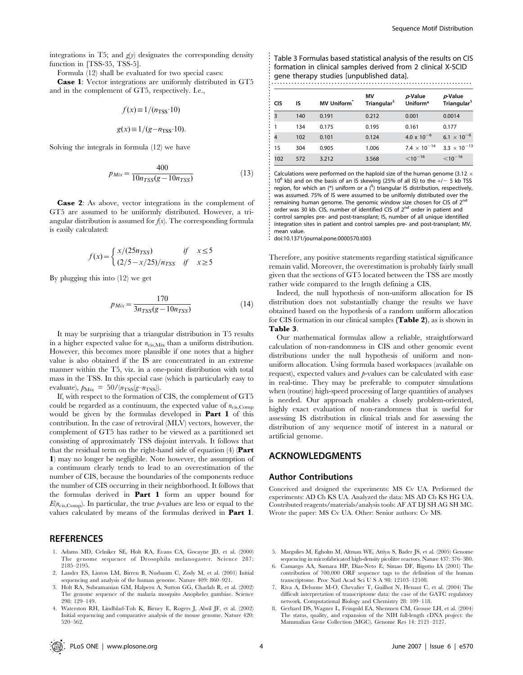integrations in T5; and  $g(y)$  designates the corresponding density function in [TSS-35, TSS-5].

Formula (12) shall be evaluated for two special cases:

Case 1: Vector integrations are uniformly distributed in GT5 and in the complement of GT5, respectively. I.e.,

$$
f(x) \equiv 1/(n_{\text{TSS}} \cdot 10)
$$

$$
g(x) \equiv 1/(g - n_{\text{TSS}} \cdot 10).
$$

Solving the integrals in formula (12) we have

$$
p_{Mix} = \frac{400}{10n_{TSS}(g - 10n_{TSS})}
$$
(13)

Case 2: As above, vector integrations in the complement of GT5 are assumed to be uniformly distributed. However, a triangular distribution is assumed for  $f(x)$ . The corresponding formula is easily calculated:

$$
f(x) = \begin{cases} x/(25n_{TSS}) & \text{if } x \le 5\\ (2/5 - x/25)/n_{TSS} & \text{if } x \ge 5 \end{cases}
$$

By plugging this into (12) we get

$$
p_{Mix} = \frac{170}{3n_{TSS}(g - 10n_{TSS})}
$$
(14)

It may be surprising that a triangular distribution in T5 results in a higher expected value for  $n_{\text{cis,Mix}}$  than a uniform distribution. However, this becomes more plausible if one notes that a higher value is also obtained if the IS are concentrated in an extreme manner within the T5, viz. in a one-point distribution with total mass in the TSS. In this special case (which is particularly easy to evaluate),  $p_{\text{Mix}} = 50/(n_{\text{TSS}}(g - n_{\text{TSS}})).$ 

If, with respect to the formation of CIS, the complement of GT5 could be regarded as a continuum, the expected value of  $n_{\text{cis,Comp}}$ would be given by the formulas developed in Part 1 of this contribution. In the case of retroviral (MLV) vectors, however, the complement of GT5 has rather to be viewed as a partitioned set consisting of approximately TSS disjoint intervals. It follows that that the residual term on the right-hand side of equation (4) (Part 1) may no longer be negligible. Note however, the assumption of a continuum clearly tends to lead to an overestimation of the number of CIS, because the boundaries of the components reduce the number of CIS occurring in their neighborhood. It follows that the formulas derived in Part 1 form an upper bound for  $E(n_{\rm cis,Comp})$ . In particular, the true p-values are less or equal to the values calculated by means of the formulas derived in Part 1.

### **REFERENCES**

- 1. Adams MD, Celniker SE, Holt RA, Evans CA, Gocayne JD, et al. (2000) The genome sequence of Drosophila melanogaster. Science 287: 2185–2195.
- 2. Lander ES, Linton LM, Birren B, Nusbaum C, Zody M, et al. (2001) Initial sequencing and analysis of the human genome. Nature 409: 860–921.
- 3. Holt RA, Subramanian GM, Halpern A, Sutton GG, Charlab R, et al. (2002) The genome sequence of the malaria mosquito Anopheles gambiae. Science 298: 129–149.
- 4. Waterston RH, Lindblad-Toh K, Birney E, Rogers J, Abril JF, et al. (2002) Initial sequencing and comparative analysis of the mouse genome. Nature 420: 520–562.

Table 3 Formulas based statistical analysis of the results on CIS formation in clinical samples derived from 2 clinical X-SCID gene therapy studies [unpublished data]. ......................................................................

| <b>CIS</b> | IS  | <b>MV Uniform</b> <sup>*</sup> | ΜV<br>Triangular <sup>§</sup> | p-Value<br>Uniform*                | $p$ -Value<br>Triangular <sup>§</sup> |
|------------|-----|--------------------------------|-------------------------------|------------------------------------|---------------------------------------|
| 3          | 140 | 0.191                          | 0.212                         | 0.001                              | 0.0014                                |
|            | 134 | 0.175                          | 0.195                         | 0.161                              | 0.177                                 |
| 4          | 102 | 0.101                          | 0.124                         | $4.0 \times 10^{-6}$               | $6.1 \times 10^{-6}$                  |
| 15         | 304 | 0.905                          | 1.006                         | $7.4 \times 10^{-14}$              | $3.3 \times 10^{-13}$                 |
| 102        | 572 | 3.212                          | 3.568                         | $<$ 10 <sup><math>-16</math></sup> | $<$ 10 <sup><math>-16</math></sup>    |

Calculations were performed on the haploid size of the human genome (3.12  $\times$ 10<sup>6</sup> kb) and on the basis of an IS skewing (25% of all IS) to the  $+/-$  5 kb TSS region, for which an  $(*)$  uniform or a  ${^{8}}$  triangular IS distribution, respectively was assumed. 75% of IS were assumed to be uniformly distributed over the remaining human genome. The genomic window size chosen for CIS of 2<sup>nd</sup> order was 30 kb. CIS, number of identified CIS of 2<sup>nd</sup> order in patient and control samples pre- and post-transplant; IS, number of all unique identified integration sites in patient and control samples pre- and post-transplant; MV, mean value.

doi:10.1371/journal.pone.0000570.t003

..................................................................

Therefore, any positive statements regarding statistical significance remain valid. Moreover, the overestimation is probably fairly small given that the sections of GT5 located between the TSS are mostly rather wide compared to the length defining a CIS.

Indeed, the null hypothesis of non-uniform allocation for IS distribution does not substantially change the results we have obtained based on the hypothesis of a random uniform allocation for CIS formation in our clinical samples (Table 2), as is shown in Table 3.

Our mathematical formulas allow a reliable, straightforward calculation of non-randomness in CIS and other genomic event distributions under the null hypothesis of uniform and nonuniform allocation. Using formula based workspaces (available on request), expected values and *p*-values can be calculated with ease in real-time. They may be preferable to computer simulations when (routine) high-speed processing of large quantities of analyses is needed. Our approach enables a closely problem-oriented, highly exact evaluation of non-randomness that is useful for assessing IS distribution in clinical trials and for assessing the distribution of any sequence motif of interest in a natural or artificial genome.

## ACKNOWLEDGMENTS

#### Author Contributions

Conceived and designed the experiments: MS Cv UA. Performed the experiments: AD Cb KS UA. Analyzed the data: MS AD Cb KS HG UA. Contributed reagents/materials/analysis tools: AF AT DJ SH AG SH MC. Wrote the paper: MS Cv UA. Other: Senior authors: Cv MS.

- 5. Margulies M, Egholm M, Altman WE, Attiya S, Bader JS, et al. (2005) Genome sequencing in microfabricated high-density picolitre reactors. Nature 437: 376–380.
- 6. Camargo AA, Samara HP, Dias-Neto E, Simao DF, Bigotto IA (2001) The contribution of 700,000 ORF sequence tags to the definition of the human transcriptome. Proc Natl Acad Sci U S A 98: 12103–12108.
- 7. Riva A, Delorme M-O, Chevalier T, Guilhot N, Henaut C, et al. (2004) The difficult interpretation of transcriptome data: the case of the GATC regulatory network. Computational Biology and Chemistry 28: 109–118.
- 8. Gerhard DS, Wagner L, Feingold EA, Shenmen CM, Grouse LH, et al. (2004) The status, quality, and expansion of the NIH full-length cDNA project: the Mammalian Gene Collection (MGC). Genome Res 14: 2121–2127.